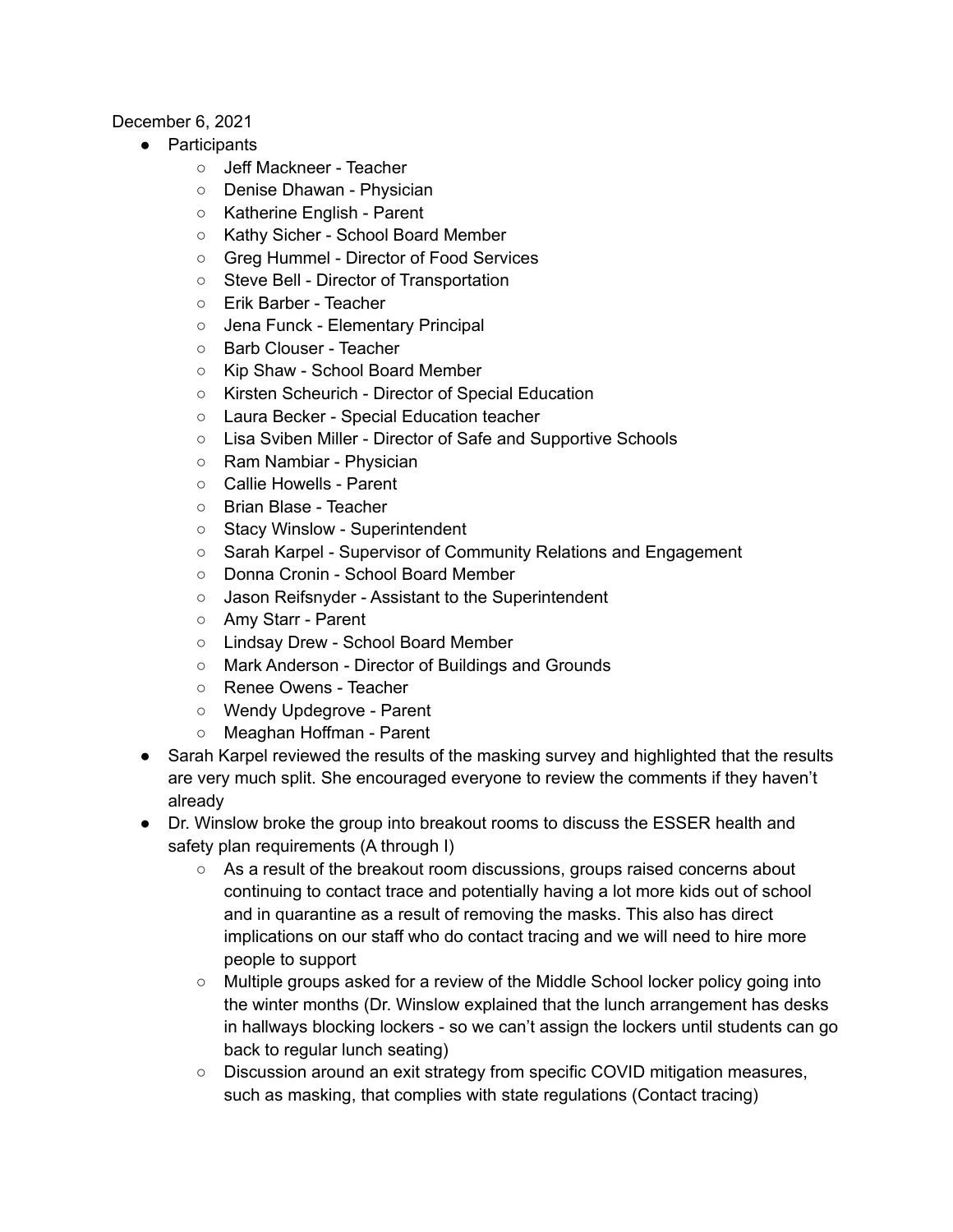## December 6, 2021

- Participants
	- Jeff Mackneer Teacher
	- Denise Dhawan Physician
	- Katherine English Parent
	- Kathy Sicher School Board Member
	- Greg Hummel Director of Food Services
	- Steve Bell Director of Transportation
	- Erik Barber Teacher
	- Jena Funck Elementary Principal
	- Barb Clouser Teacher
	- Kip Shaw School Board Member
	- Kirsten Scheurich Director of Special Education
	- Laura Becker Special Education teacher
	- Lisa Sviben Miller Director of Safe and Supportive Schools
	- Ram Nambiar Physician
	- Callie Howells Parent
	- Brian Blase Teacher
	- Stacy Winslow Superintendent
	- Sarah Karpel Supervisor of Community Relations and Engagement
	- Donna Cronin School Board Member
	- Jason Reifsnyder Assistant to the Superintendent
	- Amy Starr Parent
	- Lindsay Drew School Board Member
	- Mark Anderson Director of Buildings and Grounds
	- Renee Owens Teacher
	- Wendy Updegrove Parent
	- Meaghan Hoffman Parent
- Sarah Karpel reviewed the results of the masking survey and highlighted that the results are very much split. She encouraged everyone to review the comments if they haven't already
- Dr. Winslow broke the group into breakout rooms to discuss the ESSER health and safety plan requirements (A through I)
	- $\circ$  As a result of the breakout room discussions, groups raised concerns about continuing to contact trace and potentially having a lot more kids out of school and in quarantine as a result of removing the masks. This also has direct implications on our staff who do contact tracing and we will need to hire more people to support
	- Multiple groups asked for a review of the Middle School locker policy going into the winter months (Dr. Winslow explained that the lunch arrangement has desks in hallways blocking lockers - so we can't assign the lockers until students can go back to regular lunch seating)
	- Discussion around an exit strategy from specific COVID mitigation measures, such as masking, that complies with state regulations (Contact tracing)